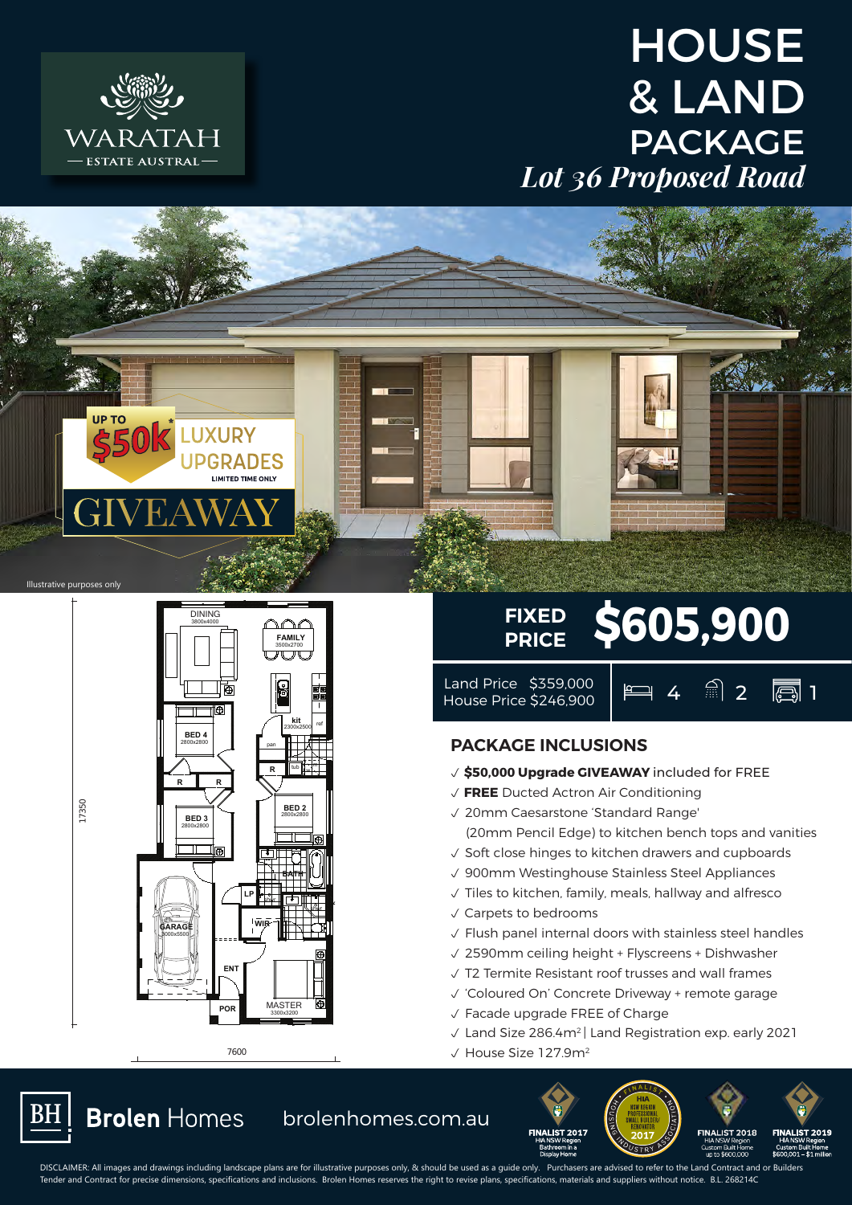







7600

## FIXED \$605,900 **PRICE**

Land Price \$359,000 | e 4 2 2 **1** 

**ALIST 2018** 

up ti

## **PACKAGE INCLUSIONS**

- p **\$50,000 Upgrade GIVEAWAY** included for FREE
- p **FREE** Ducted Actron Air Conditioning
- √ 20mm Caesarstone 'Standard Range'
	- (20mm Pencil Edge) to kitchen bench tops and vanities
- $\sqrt{\ }$  Soft close hinges to kitchen drawers and cupboards
- $\sqrt{900}$ mm Westinghouse Stainless Steel Appliances
- $\sqrt{\ }$  Tiles to kitchen, family, meals, hallway and alfresco
- $\sqrt{\phantom{a}}$  Carpets to bedrooms
- $\sqrt{\ }$  Flush panel internal doors with stainless steel handles
- $\sqrt{2590}$ mm ceiling height + Flyscreens + Dishwasher
- $\sqrt{ }$  T2 Termite Resistant roof trusses and wall frames
- √ 'Coloured On' Concrete Driveway + remote garage
- $\sqrt{\ }$  Facade upgrade FREE of Charge

**IALIST 2017** 

- $\sqrt{2}$  Land Size 286.4m<sup>2</sup> | Land Registration exp. early 2021
- $\sqrt{ }$  House Size 127.9m<sup>2</sup>

**BH** 

17350

s brolenhomes.com.au

DISCLAIMER: All images and drawings including landscape plans are for illustrative purposes only, & should be used as a guide only. Purchasers are advised to refer to the Land Contract and or Builders Tender and Contract for precise dimensions, specifications and inclusions. Brolen Homes reserves the right to revise plans, specifications, materials and suppliers without notice. B.L. 268214C **9m x 25m lot** wings including landscape plans are for illustical control of the students of the students of the students of the<br>Alimentation of the students of the students of the students of the students of the students of the students